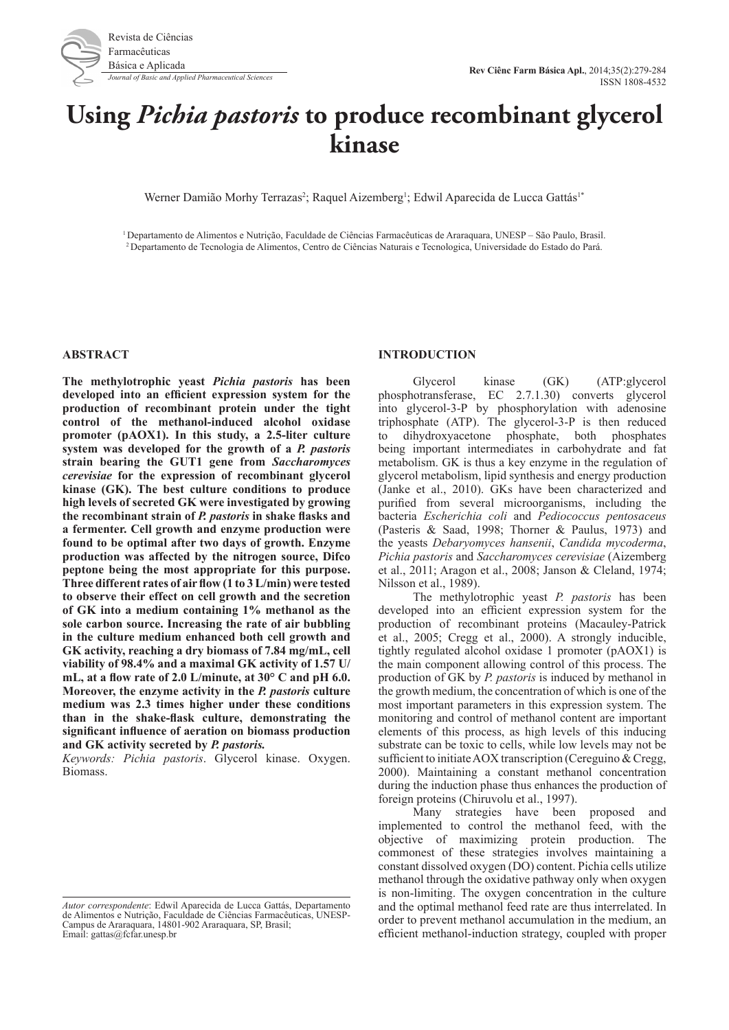

# **Using** *Pichia pastoris* **to produce recombinant glycerol kinase**

Werner Damião Morhy Terrazas<sup>2</sup>; Raquel Aizemberg<sup>1</sup>; Edwil Aparecida de Lucca Gattás<sup>1\*</sup>

1 Departamento de Alimentos e Nutrição, Faculdade de Ciências Farmacêuticas de Araraquara, UNESP – São Paulo, Brasil. 2 Departamento de Tecnologia de Alimentos, Centro de Ciências Naturais e Tecnologica, Universidade do Estado do Pará.

## **ABSTRACT**

**The methylotrophic yeast** *Pichia pastoris* **has been developed into an efficient expression system for the production of recombinant protein under the tight control of the methanol-induced alcohol oxidase promoter (pAOX1). In this study, a 2.5-liter culture system was developed for the growth of a** *P. pastoris*  **strain bearing the GUT1 gene from** *Saccharomyces cerevisiae* **for the expression of recombinant glycerol kinase (GK). The best culture conditions to produce high levels of secreted GK were investigated by growing the recombinant strain of** *P. pastoris* **in shake flasks and a fermenter. Cell growth and enzyme production were found to be optimal after two days of growth. Enzyme production was affected by the nitrogen source, Difco peptone being the most appropriate for this purpose. Three different rates of air flow (1 to 3 L/min) were tested to observe their effect on cell growth and the secretion of GK into a medium containing 1% methanol as the sole carbon source. Increasing the rate of air bubbling in the culture medium enhanced both cell growth and GK activity, reaching a dry biomass of 7.84 mg/mL, cell viability of 98.4% and a maximal GK activity of 1.57 U/ mL, at a flow rate of 2.0 L/minute, at 30° C and pH 6.0. Moreover, the enzyme activity in the** *P. pastoris* **culture medium was 2.3 times higher under these conditions than in the shake-flask culture, demonstrating the significant influence of aeration on biomass production and GK activity secreted by** *P. pastoris.*

*Keywords: Pichia pastoris*. Glycerol kinase. Oxygen. Biomass.

## **INTRODUCTION**

Glycerol kinase (GK) (ATP:glycerol phosphotransferase, EC 2.7.1.30) converts glycerol into glycerol-3-P by phosphorylation with adenosine triphosphate (ATP). The glycerol-3-P is then reduced to dihydroxyacetone phosphate, both phosphates being important intermediates in carbohydrate and fat metabolism. GK is thus a key enzyme in the regulation of glycerol metabolism, lipid synthesis and energy production (Janke et al., 2010). GKs have been characterized and purified from several microorganisms, including the bacteria *Escherichia coli* and *Pediococcus pentosaceus* (Pasteris & Saad, 1998; Thorner & Paulus, 1973) and the yeasts *Debaryomyces hansenii*, *Candida mycoderma*, *Pichia pastoris* and *Saccharomyces cerevisiae* (Aizemberg et al., 2011; Aragon et al., 2008; Janson & Cleland, 1974; Nilsson et al., 1989).

The methylotrophic yeast *P. pastoris* has been developed into an efficient expression system for the production of recombinant proteins (Macauley-Patrick et al., 2005; Cregg et al., 2000). A strongly inducible, tightly regulated alcohol oxidase 1 promoter (pAOX1) is the main component allowing control of this process. The production of GK by *P. pastoris* is induced by methanol in the growth medium, the concentration of which is one of the most important parameters in this expression system. The monitoring and control of methanol content are important elements of this process, as high levels of this inducing substrate can be toxic to cells, while low levels may not be sufficient to initiate AOX transcription (Cereguino & Cregg, 2000). Maintaining a constant methanol concentration during the induction phase thus enhances the production of foreign proteins (Chiruvolu et al., 1997).

Many strategies have been proposed and implemented to control the methanol feed, with the objective of maximizing protein production. The commonest of these strategies involves maintaining a constant dissolved oxygen (DO) content. Pichia cells utilize methanol through the oxidative pathway only when oxygen is non-limiting. The oxygen concentration in the culture and the optimal methanol feed rate are thus interrelated. In order to prevent methanol accumulation in the medium, an efficient methanol-induction strategy, coupled with proper

*Autor correspondente*: Edwil Aparecida de Lucca Gattás, Departamento de Alimentos e Nutrição, Faculdade de Ciências Farmacêuticas, UNESP-Campus de Araraquara, 14801-902 Araraquara, SP, Brasil; Email: gattas@fcfar.unesp.br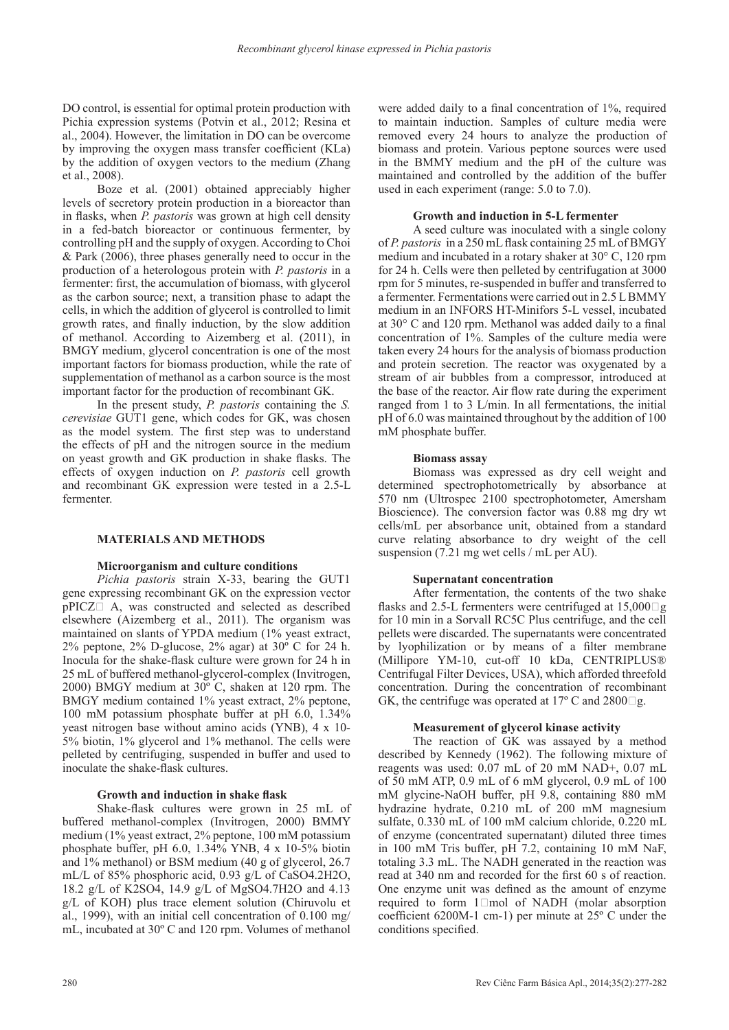DO control, is essential for optimal protein production with Pichia expression systems (Potvin et al., 2012; Resina et al., 2004). However, the limitation in DO can be overcome by improving the oxygen mass transfer coefficient (KLa) by the addition of oxygen vectors to the medium (Zhang et al., 2008).

Boze et al. (2001) obtained appreciably higher levels of secretory protein production in a bioreactor than in flasks, when *P. pastoris* was grown at high cell density in a fed-batch bioreactor or continuous fermenter, by controlling pH and the supply of oxygen. According to Choi & Park (2006), three phases generally need to occur in the production of a heterologous protein with *P. pastoris* in a fermenter: first, the accumulation of biomass, with glycerol as the carbon source; next, a transition phase to adapt the cells, in which the addition of glycerol is controlled to limit growth rates, and finally induction, by the slow addition of methanol. According to Aizemberg et al. (2011), in BMGY medium, glycerol concentration is one of the most important factors for biomass production, while the rate of supplementation of methanol as a carbon source is the most important factor for the production of recombinant GK.

In the present study, *P. pastoris* containing the *S. cerevisiae* GUT1 gene, which codes for GK, was chosen as the model system. The first step was to understand the effects of pH and the nitrogen source in the medium on yeast growth and GK production in shake flasks. The effects of oxygen induction on *P. pastoris* cell growth and recombinant GK expression were tested in a 2.5-L fermenter.

## **MATERIALS AND METHODS**

#### **Microorganism and culture conditions**

*Pichia pastoris* strain X-33, bearing the GUT1 gene expressing recombinant GK on the expression vector  $pPICZ \Box$  A, was constructed and selected as described elsewhere (Aizemberg et al., 2011). The organism was maintained on slants of YPDA medium (1% yeast extract, 2% peptone, 2% D-glucose, 2% agar) at 30º C for 24 h. Inocula for the shake-flask culture were grown for 24 h in 25 mL of buffered methanol-glycerol-complex (Invitrogen, 2000) BMGY medium at 30º C, shaken at 120 rpm. The BMGY medium contained 1% yeast extract, 2% peptone, 100 mM potassium phosphate buffer at pH 6.0, 1.34% yeast nitrogen base without amino acids (YNB), 4 x 10- 5% biotin, 1% glycerol and 1% methanol. The cells were pelleted by centrifuging, suspended in buffer and used to inoculate the shake-flask cultures.

#### **Growth and induction in shake flask**

Shake-flask cultures were grown in 25 mL of buffered methanol-complex (Invitrogen, 2000) BMMY medium (1% yeast extract, 2% peptone, 100 mM potassium phosphate buffer, pH 6.0, 1.34% YNB, 4 x 10-5% biotin and 1% methanol) or BSM medium (40 g of glycerol, 26.7 mL/L of 85% phosphoric acid, 0.93 g/L of CaSO4.2H2O, 18.2 g/L of K2SO4, 14.9 g/L of MgSO4.7H2O and 4.13 g/L of KOH) plus trace element solution (Chiruvolu et al., 1999), with an initial cell concentration of 0.100 mg/ mL, incubated at 30º C and 120 rpm. Volumes of methanol

were added daily to a final concentration of 1%, required to maintain induction. Samples of culture media were removed every 24 hours to analyze the production of biomass and protein. Various peptone sources were used in the BMMY medium and the pH of the culture was maintained and controlled by the addition of the buffer used in each experiment (range: 5.0 to 7.0).

#### **Growth and induction in 5-L fermenter**

A seed culture was inoculated with a single colony of *P. pastoris* in a 250 mL flask containing 25 mL of BMGY medium and incubated in a rotary shaker at 30° C, 120 rpm for 24 h. Cells were then pelleted by centrifugation at 3000 rpm for 5 minutes, re-suspended in buffer and transferred to a fermenter. Fermentations were carried out in 2.5 L BMMY medium in an INFORS HT-Minifors 5-L vessel, incubated at 30° C and 120 rpm. Methanol was added daily to a final concentration of 1%. Samples of the culture media were taken every 24 hours for the analysis of biomass production and protein secretion. The reactor was oxygenated by a stream of air bubbles from a compressor, introduced at the base of the reactor. Air flow rate during the experiment ranged from 1 to 3 L/min. In all fermentations, the initial pH of 6.0 was maintained throughout by the addition of 100 mM phosphate buffer.

#### **Biomass assay**

Biomass was expressed as dry cell weight and determined spectrophotometrically by absorbance at 570 nm (Ultrospec 2100 spectrophotometer, Amersham Bioscience). The conversion factor was 0.88 mg dry wt cells/mL per absorbance unit, obtained from a standard curve relating absorbance to dry weight of the cell suspension (7.21 mg wet cells / mL per AU).

#### **Supernatant concentration**

After fermentation, the contents of the two shake flasks and 2.5-L fermenters were centrifuged at  $15,000 \square g$ for 10 min in a Sorvall RC5C Plus centrifuge, and the cell pellets were discarded. The supernatants were concentrated by lyophilization or by means of a filter membrane (Millipore YM-10, cut-off 10 kDa, CENTRIPLUS® Centrifugal Filter Devices, USA), which afforded threefold concentration. During the concentration of recombinant GK, the centrifuge was operated at 17 $\degree$  C and 2800 $\Box$ g.

# **Measurement of glycerol kinase activity**

The reaction of GK was assayed by a method described by Kennedy (1962). The following mixture of reagents was used: 0.07 mL of 20 mM NAD+, 0.07 mL of 50 mM ATP, 0.9 mL of 6 mM glycerol, 0.9 mL of 100 mM glycine-NaOH buffer, pH 9.8, containing 880 mM hydrazine hydrate, 0.210 mL of 200 mM magnesium sulfate, 0.330 mL of 100 mM calcium chloride, 0.220 mL of enzyme (concentrated supernatant) diluted three times in 100 mM Tris buffer, pH 7.2, containing 10 mM NaF, totaling 3.3 mL. The NADH generated in the reaction was read at 340 nm and recorded for the first 60 s of reaction. One enzyme unit was defined as the amount of enzyme required to form  $1 \square$  mol of NADH (molar absorption coefficient 6200M-1 cm-1) per minute at 25º C under the conditions specified.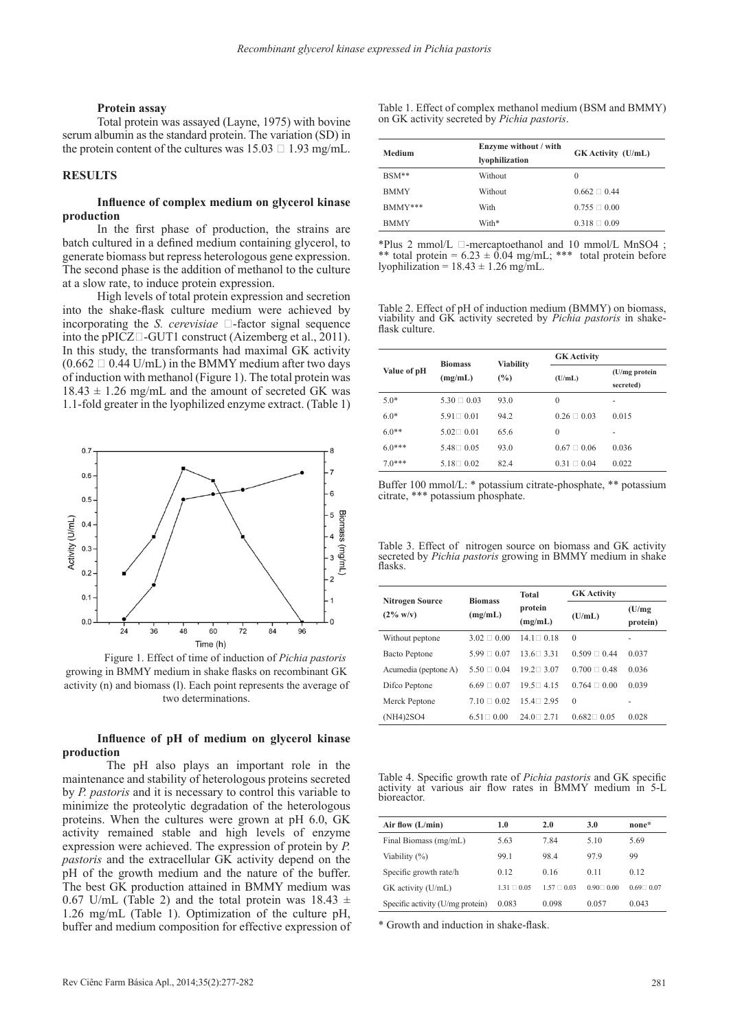#### **Protein assay**

Total protein was assayed (Layne, 1975) with bovine serum albumin as the standard protein. The variation (SD) in the protein content of the cultures was  $15.03 \square 1.93$  mg/mL.

## **RESULTS**

## **Influence of complex medium on glycerol kinase production**

In the first phase of production, the strains are batch cultured in a defined medium containing glycerol, to generate biomass but repress heterologous gene expression. The second phase is the addition of methanol to the culture at a slow rate, to induce protein expression.

High levels of total protein expression and secretion into the shake-flask culture medium were achieved by incorporating the *S. cerevisiae*  $\Box$ -factor signal sequence into the pPICZ $\Box$ -GUT1 construct (Aizemberg et al., 2011). In this study, the transformants had maximal GK activity  $(0.662 \square 0.44 \text{ U/mL})$  in the BMMY medium after two days of induction with methanol (Figure 1). The total protein was  $18.43 \pm 1.26$  mg/mL and the amount of secreted GK was 1.1-fold greater in the lyophilized enzyme extract. (Table 1)



 Figure 1. Effect of time of induction of *Pichia pastoris* growing in BMMY medium in shake flasks on recombinant GK activity (n) and biomass (l). Each point represents the average of two determinations.

## **Influence of pH of medium on glycerol kinase production**

The pH also plays an important role in the maintenance and stability of heterologous proteins secreted by *P. pastoris* and it is necessary to control this variable to minimize the proteolytic degradation of the heterologous proteins. When the cultures were grown at pH 6.0, GK activity remained stable and high levels of enzyme expression were achieved. The expression of protein by *P. pastoris* and the extracellular GK activity depend on the pH of the growth medium and the nature of the buffer. The best GK production attained in BMMY medium was 0.67 U/mL (Table 2) and the total protein was  $18.43 \pm$ 1.26 mg/mL (Table 1). Optimization of the culture pH, buffer and medium composition for effective expression of Table 1. Effect of complex methanol medium (BSM and BMMY) on GK activity secreted by *Pichia pastoris*.

| <b>Medium</b> | Enzyme without / with<br>lyophilization | <b>GK</b> Activity (U/mL) |  |  |
|---------------|-----------------------------------------|---------------------------|--|--|
| $BSM**$       | Without                                 | $\theta$                  |  |  |
| <b>BMMY</b>   | Without                                 | $0.662 \square 0.44$      |  |  |
| BMMY***       | With                                    | $0.755 \square 0.00$      |  |  |
| <b>BMMY</b>   | With*                                   | $0.318 \square 0.09$      |  |  |

\*Plus 2 mmol/L  $\Box$ -mercaptoethanol and 10 mmol/L MnSO4 ; \*\* total protein =  $6.23 \pm 0.04$  mg/mL; \*\*\* total protein before lyophilization =  $18.43 \pm 1.26$  mg/mL.

Table 2. Effect of pH of induction medium (BMMY) on biomass, viability and GK activity secreted by *Pichia pastoris* in shakeflask culture.

| Value of pH | <b>Biomass</b>      | <b>Viability</b> | <b>GK</b> Activity  |                            |  |  |
|-------------|---------------------|------------------|---------------------|----------------------------|--|--|
|             | (mg/mL)             | $\frac{6}{2}$    | (U/mL)              | (U/mg protein<br>secreted) |  |  |
| $5.0*$      | $5.30 \square 0.03$ | 93.0             | 0                   |                            |  |  |
| $6.0*$      | $5.91 \square 0.01$ | 94.2             | $0.26 \square 0.03$ | 0.015                      |  |  |
| $6.0**$     | $5.02 \square 0.01$ | 65.6             | 0                   | -                          |  |  |
| $6.0***$    | $5.48 \square 0.05$ | 93.0             | $0.67 \square 0.06$ | 0.036                      |  |  |
| $70***$     | $5.18 \square 0.02$ | 82.4             | $0.31 \square 0.04$ | 0.022                      |  |  |

Buffer 100 mmol/L: \* potassium citrate-phosphate, \*\* potassium citrate, \*\*\* potassium phosphate.

Table 3. Effect of nitrogen source on biomass and GK activity secreted by *Pichia pastoris* growing in BMMY medium in shake flasks.

|                                               | <b>Biomass</b>      | <b>Total</b>        | <b>GK</b> Activity   |                    |  |  |
|-----------------------------------------------|---------------------|---------------------|----------------------|--------------------|--|--|
| <b>Nitrogen Source</b><br>$(2\% \text{ w/v})$ | (mg/mL)             | protein<br>(mg/mL)  | (U/mL)               | (U/mg)<br>protein) |  |  |
| Without peptone                               | $3.02 \square 0.00$ | $14.1 \square 0.18$ | $\Omega$             |                    |  |  |
| <b>Bacto Peptone</b>                          | $5.99 \square 0.07$ | $13.6 \square 3.31$ | $0.509 \square 0.44$ | 0.037              |  |  |
| Acumedia (peptone A)                          | $5.50 \square 0.04$ | $19.2 \square 3.07$ | $0.700 \square 0.48$ | 0.036              |  |  |
| Difco Peptone                                 | $6.69 \square 0.07$ | $19.5 \square 4.15$ | $0.764 \square 0.00$ | 0.039              |  |  |
| Merck Peptone                                 | $7.10 \square 0.02$ | $15.4 \square 2.95$ | $\Omega$             |                    |  |  |
| (NH4)2SO4                                     | $6.51 \square 0.00$ | $24.0 \square 2.71$ | $0.682 \square 0.05$ | 0.028              |  |  |

|             |  |  |  | Table 4. Specific growth rate of <i>Pichia pastoris</i> and GK specific |  |  |
|-------------|--|--|--|-------------------------------------------------------------------------|--|--|
|             |  |  |  | activity at various air flow rates in BMMY medium in 5-L                |  |  |
| bioreactor. |  |  |  |                                                                         |  |  |

| Air flow $(L/min)$               | 1.0               | 2.0                 | 3.0           | none*               |
|----------------------------------|-------------------|---------------------|---------------|---------------------|
| Final Biomass (mg/mL)            | 5.63              | 7.84                | 5.10          | 5.69                |
| Viability (%)                    | 99.1              | 98.4                | 97.9          | 99                  |
| Specific growth rate/h           | 0.12              | 0.16                | 0.11          | 0.12                |
| GK activity (U/mL)               | $131 \square 005$ | $1.57 \square 0.03$ | $0.90 - 0.00$ | $0.69 \square 0.07$ |
| Specific activity (U/mg protein) | 0.083             | 0.098               | 0.057         | 0.043               |

\* Growth and induction in shake-flask.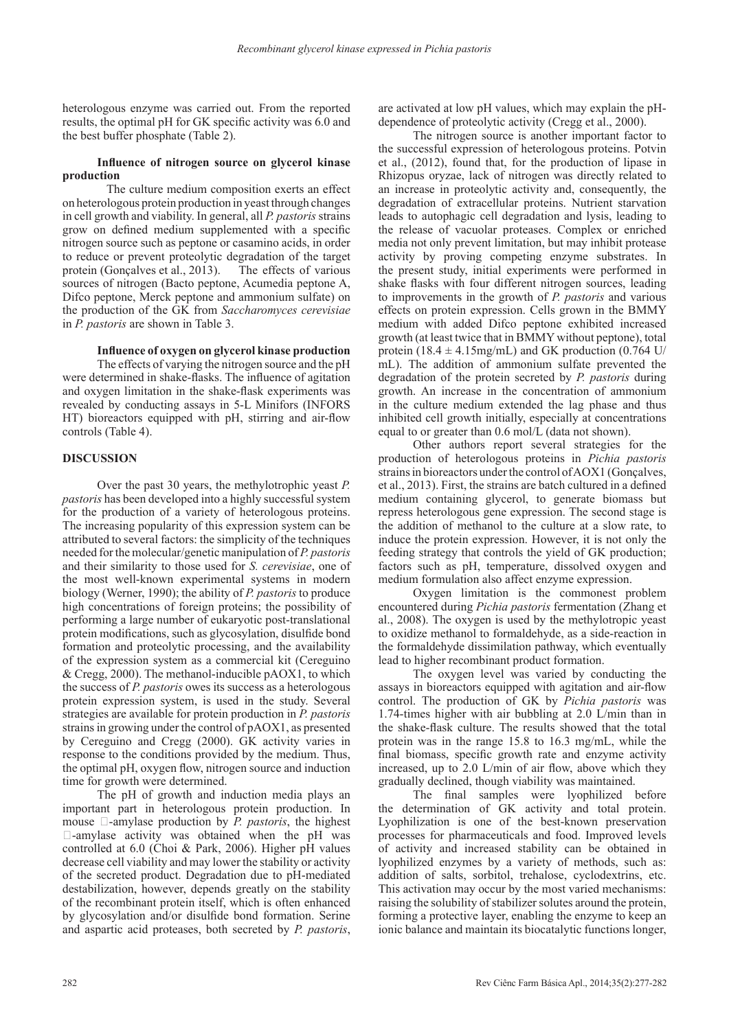heterologous enzyme was carried out. From the reported results, the optimal pH for GK specific activity was 6.0 and the best buffer phosphate (Table 2).

## **Influence of nitrogen source on glycerol kinase production**

The culture medium composition exerts an effect on heterologous protein production in yeast through changes in cell growth and viability. In general, all *P. pastoris* strains grow on defined medium supplemented with a specific nitrogen source such as peptone or casamino acids, in order to reduce or prevent proteolytic degradation of the target protein (Gonçalves et al., 2013). The effects of various sources of nitrogen (Bacto peptone, Acumedia peptone A, Difco peptone, Merck peptone and ammonium sulfate) on the production of the GK from *Saccharomyces cerevisiae* in *P. pastoris* are shown in Table 3.

**Influence of oxygen on glycerol kinase production**

The effects of varying the nitrogen source and the pH were determined in shake-flasks. The influence of agitation and oxygen limitation in the shake-flask experiments was revealed by conducting assays in 5-L Minifors (INFORS HT) bioreactors equipped with pH, stirring and air-flow controls (Table 4).

# **DISCUSSION**

Over the past 30 years, the methylotrophic yeast *P. pastoris* has been developed into a highly successful system for the production of a variety of heterologous proteins. The increasing popularity of this expression system can be attributed to several factors: the simplicity of the techniques needed for the molecular/genetic manipulation of *P. pastoris* and their similarity to those used for *S. cerevisiae*, one of the most well-known experimental systems in modern biology (Werner, 1990); the ability of *P. pastoris* to produce high concentrations of foreign proteins; the possibility of performing a large number of eukaryotic post-translational protein modifications, such as glycosylation, disulfide bond formation and proteolytic processing, and the availability of the expression system as a commercial kit (Cereguino & Cregg, 2000). The methanol-inducible pAOX1, to which the success of *P. pastoris* owes its success as a heterologous protein expression system, is used in the study. Several strategies are available for protein production in *P. pastoris* strains in growing under the control of pAOX1, as presented by Cereguino and Cregg (2000). GK activity varies in response to the conditions provided by the medium. Thus, the optimal pH, oxygen flow, nitrogen source and induction time for growth were determined.

The pH of growth and induction media plays an important part in heterologous protein production. In mouse  $\Box$ -amylase production by *P. pastoris*, the highest  $\Box$ -amylase activity was obtained when the pH was controlled at 6.0 (Choi & Park, 2006). Higher pH values decrease cell viability and may lower the stability or activity of the secreted product. Degradation due to pH-mediated destabilization, however, depends greatly on the stability of the recombinant protein itself, which is often enhanced by glycosylation and/or disulfide bond formation. Serine and aspartic acid proteases, both secreted by *P. pastoris*,

are activated at low pH values, which may explain the pHdependence of proteolytic activity (Cregg et al., 2000).

The nitrogen source is another important factor to the successful expression of heterologous proteins. Potvin et al., (2012), found that, for the production of lipase in Rhizopus oryzae, lack of nitrogen was directly related to an increase in proteolytic activity and, consequently, the degradation of extracellular proteins. Nutrient starvation leads to autophagic cell degradation and lysis, leading to the release of vacuolar proteases. Complex or enriched media not only prevent limitation, but may inhibit protease activity by proving competing enzyme substrates. In the present study, initial experiments were performed in shake flasks with four different nitrogen sources, leading to improvements in the growth of *P. pastoris* and various effects on protein expression. Cells grown in the BMMY medium with added Difco peptone exhibited increased growth (at least twice that in BMMY without peptone), total protein (18.4  $\pm$  4.15mg/mL) and GK production (0.764 U/ mL). The addition of ammonium sulfate prevented the degradation of the protein secreted by *P. pastoris* during growth. An increase in the concentration of ammonium in the culture medium extended the lag phase and thus inhibited cell growth initially, especially at concentrations equal to or greater than 0.6 mol/L (data not shown).

Other authors report several strategies for the production of heterologous proteins in *Pichia pastoris* strains in bioreactors under the control of AOX1 (Gonçalves, et al., 2013). First, the strains are batch cultured in a defined medium containing glycerol, to generate biomass but repress heterologous gene expression. The second stage is the addition of methanol to the culture at a slow rate, to induce the protein expression. However, it is not only the feeding strategy that controls the yield of GK production; factors such as pH, temperature, dissolved oxygen and medium formulation also affect enzyme expression.

Oxygen limitation is the commonest problem encountered during *Pichia pastoris* fermentation (Zhang et al., 2008). The oxygen is used by the methylotropic yeast to oxidize methanol to formaldehyde, as a side-reaction in the formaldehyde dissimilation pathway, which eventually lead to higher recombinant product formation.

The oxygen level was varied by conducting the assays in bioreactors equipped with agitation and air-flow control. The production of GK by *Pichia pastoris* was 1.74-times higher with air bubbling at 2.0 L/min than in the shake-flask culture. The results showed that the total protein was in the range 15.8 to 16.3 mg/mL, while the final biomass, specific growth rate and enzyme activity increased, up to 2.0 L/min of air flow, above which they gradually declined, though viability was maintained.

The final samples were lyophilized before the determination of GK activity and total protein. Lyophilization is one of the best-known preservation processes for pharmaceuticals and food. Improved levels of activity and increased stability can be obtained in lyophilized enzymes by a variety of methods, such as: addition of salts, sorbitol, trehalose, cyclodextrins, etc. This activation may occur by the most varied mechanisms: raising the solubility of stabilizer solutes around the protein, forming a protective layer, enabling the enzyme to keep an ionic balance and maintain its biocatalytic functions longer,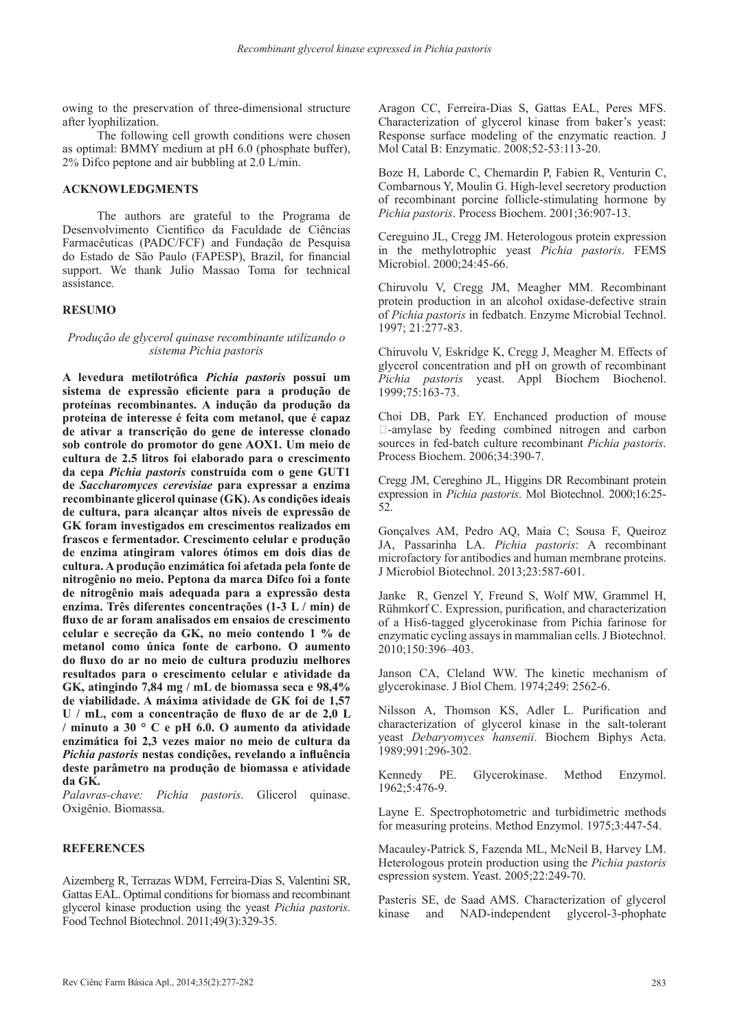owing to the preservation of three-dimensional structure after lyophilization.

The following cell growth conditions were chosen as optimal: BMMY medium at pH 6.0 (phosphate buffer), 2% Difco peptone and air bubbling at 2.0 L/min.

# **ACKNOWLEDGMENTS**

The authors are grateful to the Programa de Desenvolvimento Científico da Faculdade de Ciências Farmacêuticas (PADC/FCF) and Fundação de Pesquisa do Estado de São Paulo (FAPESP), Brazil, for financial support. We thank Julio Massao Toma for technical assistance.

# **RESUMO**

## *Produção de glycerol quinase recombinante utilizando o sistema Pichia pastoris*

**A levedura metilotrófica** *Pichia pastoris* **possui um sistema de expressão eficiente para a produção de proteínas recombinantes. A indução da produção da proteína de interesse é feita com metanol, que é capaz de ativar a transcrição do gene de interesse clonado sob controle do promotor do gene AOX1. Um meio de cultura de 2.5 litros foi elaborado para o crescimento da cepa** *Pichia pastoris* **construída com o gene GUT1 de** *Saccharomyces cerevisiae* **para expressar a enzima recombinante glicerol quinase (GK). As condições ideais de cultura, para alcançar altos níveis de expressão de GK foram investigados em crescimentos realizados em frascos e fermentador. Crescimento celular e produção de enzima atingiram valores ótimos em dois dias de cultura. A produção enzimática foi afetada pela fonte de nitrogênio no meio. Peptona da marca Difco foi a fonte de nitrogênio mais adequada para a expressão desta enzima. Três diferentes concentrações (1-3 L / min) de fluxo de ar foram analisados em ensaios de crescimento celular e secreção da GK, no meio contendo 1 % de metanol como única fonte de carbono. O aumento do fluxo do ar no meio de cultura produziu melhores resultados para o crescimento celular e atividade da GK, atingindo 7,84 mg / mL de biomassa seca e 98,4% de viabilidade. A máxima atividade de GK foi de 1,57 U / mL, com a concentração de fluxo de ar de 2,0 L / minuto a 30 ° C e pH 6.0. O aumento da atividade enzimática foi 2,3 vezes maior no meio de cultura da**  *Pichia pastoris* **nestas condições, revelando a influência deste parâmetro na produção de biomassa e atividade da GK.**

*Palavras-chave: Pichia pastoris*. Glicerol quinase. Oxigênio. Biomassa.

## **REFERENCES**

Aizemberg R, Terrazas WDM, Ferreira-Dias S, Valentini SR, Gattas EAL. Optimal conditions for biomass and recombinant glycerol kinase production using the yeast *Pichia pastoris*. Food Technol Biotechnol. 2011;49(3):329-35.

Aragon CC, Ferreira-Dias S, Gattas EAL, Peres MFS. Characterization of glycerol kinase from baker's yeast: Response surface modeling of the enzymatic reaction. J Mol Catal B: Enzymatic. 2008;52-53:113-20.

Boze H, Laborde C, Chemardin P, Fabien R, Venturin C, Combarnous Y, Moulin G. High-level secretory production of recombinant porcine follicle-stimulating hormone by *Pichia pastoris*. Process Biochem. 2001;36:907-13.

Cereguino JL, Cregg JM. Heterologous protein expression in the methylotrophic yeast *Pichia pastoris*. FEMS Microbiol. 2000;24:45-66.

Chiruvolu V, Cregg JM, Meagher MM. Recombinant protein production in an alcohol oxidase-defective strain of *Pichia pastoris* in fedbatch. Enzyme Microbial Technol. 1997; 21:277-83.

Chiruvolu V, Eskridge K, Cregg J, Meagher M. Effects of glycerol concentration and pH on growth of recombinant *Pichia pastoris* yeast. Appl Biochem Biochenol. 1999;75:163-73.

Choi DB, Park EY. Enchanced production of mouse -amylase by feeding combined nitrogen and carbon sources in fed-batch culture recombinant *Pichia pastoris*. Process Biochem. 2006;34:390-7.

Cregg JM, Cereghino JL, Higgins DR Recombinant protein expression in *Pichia pastoris*. Mol Biotechnol. 2000;16:25- 52.

Gonçalves AM, Pedro AQ, Maia C; Sousa F, Queiroz JA, Passarinha LA. *Pichia pastoris*: A recombinant microfactory for antibodies and human membrane proteins. J Microbiol Biotechnol. 2013;23:587-601.

Janke R, Genzel Y, Freund S, Wolf MW, Grammel H, Rühmkorf C. Expression, purification, and characterization of a His6-tagged glycerokinase from Pichia farinose for enzymatic cycling assays in mammalian cells. J Biotechnol. 2010;150:396–403.

Janson CA, Cleland WW. The kinetic mechanism of glycerokinase. J Biol Chem. 1974;249: 2562-6.

Nilsson A, Thomson KS, Adler L. Purification and characterization of glycerol kinase in the salt-tolerant yeast *Debaryomyces hansenii*. Biochem Biphys Acta. 1989;991:296-302.

Kennedy PE. Glycerokinase. Method Enzymol. 1962;5:476-9.

Layne E. Spectrophotometric and turbidimetric methods for measuring proteins. Method Enzymol. 1975;3:447-54.

Macauley-Patrick S, Fazenda ML, McNeil B, Harvey LM. Heterologous protein production using the *Pichia pastoris* espression system. Yeast. 2005;22:249-70.

Pasteris SE, de Saad AMS. Characterization of glycerol kinase and NAD-independent glycerol-3-phophate